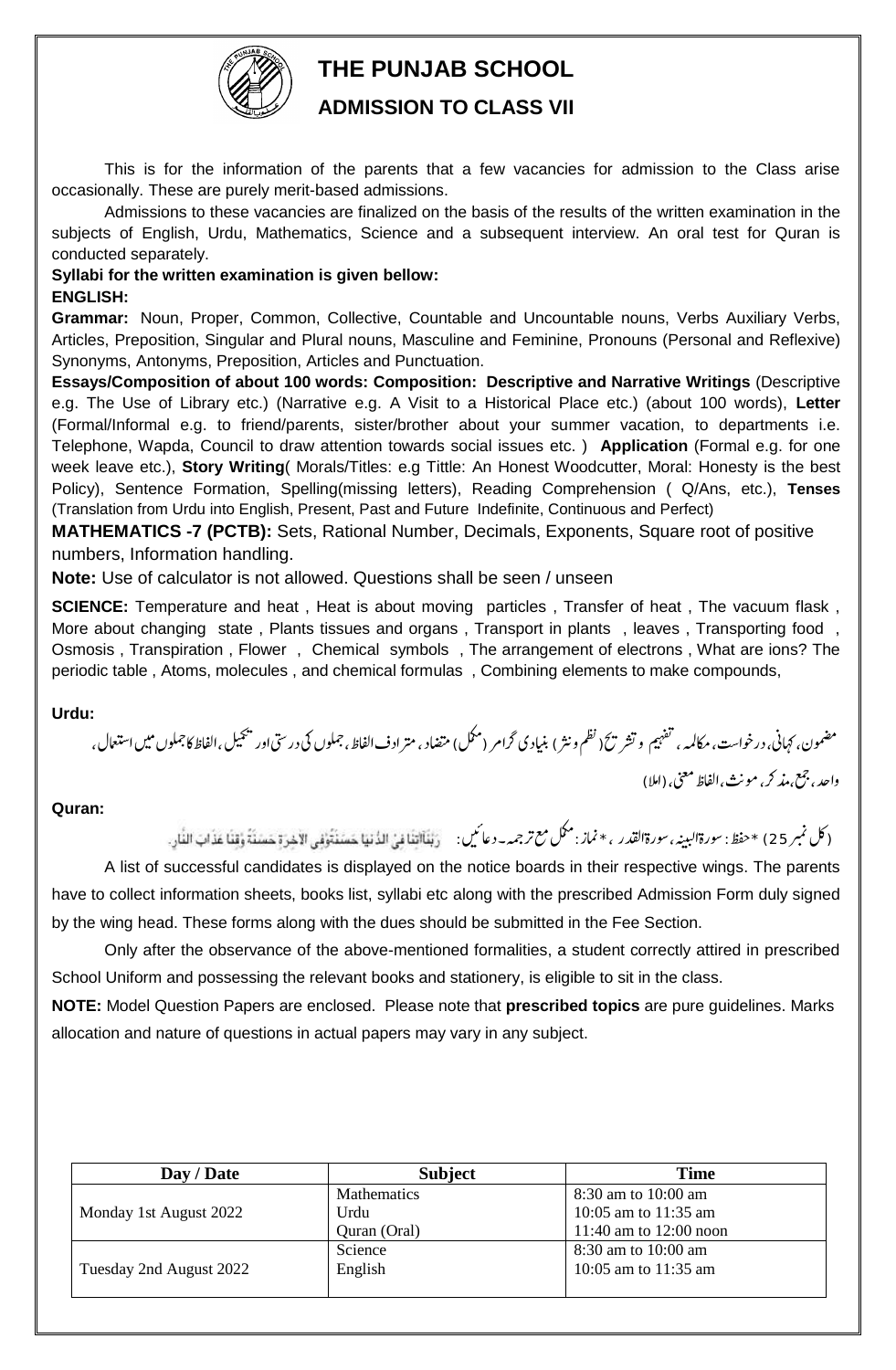

## **THE PUNJAB SCHOOL**

### **ADMISSION TO CLASS VII**

This is for the information of the parents that a few vacancies for admission to the Class arise occasionally. These are purely merit-based admissions.

Admissions to these vacancies are finalized on the basis of the results of the written examination in the subjects of English, Urdu, Mathematics, Science and a subsequent interview. An oral test for Quran is conducted separately.

# **Syllabi for the written examination is given bellow:**

#### **ENGLISH:**

**Grammar:** Noun, Proper, Common, Collective, Countable and Uncountable nouns, Verbs Auxiliary Verbs, Articles, Preposition, Singular and Plural nouns, Masculine and Feminine, Pronouns (Personal and Reflexive) Synonyms, Antonyms, Preposition, Articles and Punctuation.

**Essays/Composition of about 100 words: Composition: Descriptive and Narrative Writings** (Descriptive e.g. The Use of Library etc.) (Narrative e.g. A Visit to a Historical Place etc.) (about 100 words), **Letter** (Formal/Informal e.g. to friend/parents, sister/brother about your summer vacation, to departments i.e. Telephone, Wapda, Council to draw attention towards social issues etc. ) **Application** (Formal e.g. for one week leave etc.), **Story Writing**( Morals/Titles: e.g Tittle: An Honest Woodcutter, Moral: Honesty is the best Policy), Sentence Formation, Spelling(missing letters), Reading Comprehension ( Q/Ans, etc.), **Tenses** (Translation from Urdu into English, Present, Past and Future Indefinite, Continuous and Perfect)

**MATHEMATICS -7 (PCTB):** Sets, Rational Number, Decimals, Exponents, Square root of positive numbers, Information handling.

**Note:** Use of calculator is not allowed. Questions shall be seen / unseen

**SCIENCE:** Temperature and heat , Heat is about moving particles , Transfer of heat , The vacuum flask , More about changing state, Plants tissues and organs, Transport in plants, leaves, Transporting food, Osmosis , Transpiration , Flower , Chemical symbols , The arrangement of electrons , What are ions? The periodic table , Atoms, molecules , and chemical formulas , Combining elements to make compounds,

#### **Urdu:**

مضمون، <sub>كت</sub>هانى، درخواست، مكالمه ، تفهيم و تشر ت $\zeta$  نظم ونثر ) بنيادى گرامر (مكمك) متضاد ،متر ادف الفاظ ،جملوں باس الشخاص و ميں استعال ، l. l. واحد ، جمع ،مذ كر ، مونث ،الفاظ معنى، (املا) l.  $\overline{a}$ 

#### **Quran:**

(كل نمبر 25) \*حفظ: سورۃالبينہ، سورۃالقدر  $\overline{a}$ سورةالبينہ، سورةالقدر ، \* نماز : مكمل مع ترجمہ- دعا ميں : l,

A list of successful candidates is displayed on the notice boards in their respective wings. The parents have to collect information sheets, books list, syllabi etc along with the prescribed Admission Form duly signed by the wing head. These forms along with the dues should be submitted in the Fee Section.

Only after the observance of the above-mentioned formalities, a student correctly attired in prescribed School Uniform and possessing the relevant books and stationery, is eligible to sit in the class.

**NOTE:** Model Question Papers are enclosed. Please note that **prescribed topics** are pure guidelines. Marks allocation and nature of questions in actual papers may vary in any subject.

| Day / Date              | <b>Subject</b>     | <b>Time</b>            |
|-------------------------|--------------------|------------------------|
|                         | <b>Mathematics</b> | 8:30 am to 10:00 am    |
| Monday 1st August 2022  | Urdu               | 10:05 am to 11:35 am   |
|                         | Quran (Oral)       | 11:40 am to 12:00 noon |
|                         | Science            | 8:30 am to 10:00 am    |
| Tuesday 2nd August 2022 | English            | 10:05 am to 11:35 am   |
|                         |                    |                        |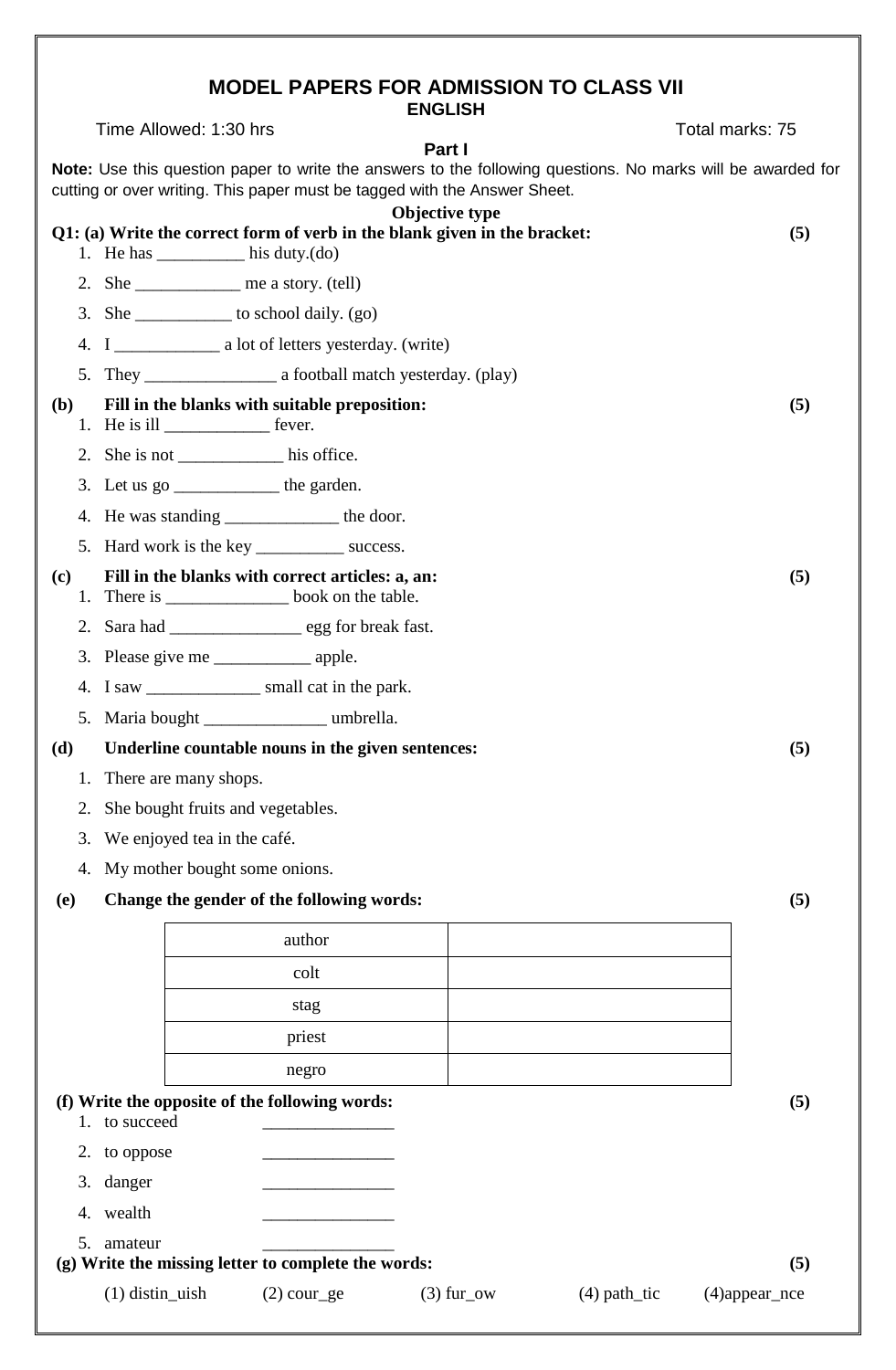## **MODEL PAPERS FOR ADMISSION TO CLASS VII**

|              |                                         |                                                                           | <b>ENGLISH</b> |                                                                                                             |     |
|--------------|-----------------------------------------|---------------------------------------------------------------------------|----------------|-------------------------------------------------------------------------------------------------------------|-----|
|              | Time Allowed: 1:30 hrs                  |                                                                           | Part I         | Total marks: 75                                                                                             |     |
|              |                                         | cutting or over writing. This paper must be tagged with the Answer Sheet. |                | Note: Use this question paper to write the answers to the following questions. No marks will be awarded for |     |
|              |                                         | Q1: (a) Write the correct form of verb in the blank given in the bracket: | Objective type |                                                                                                             |     |
|              |                                         | 1. He has $_{\text{his duty.(do)}}$                                       |                |                                                                                                             | (5) |
|              |                                         | 2. She ____________ me a story. $(tell)$                                  |                |                                                                                                             |     |
|              |                                         | 3. She $\_\_\_\_\_\_\$ to school daily. (go)                              |                |                                                                                                             |     |
|              |                                         |                                                                           |                |                                                                                                             |     |
|              |                                         |                                                                           |                |                                                                                                             |     |
| ( <b>b</b> ) | 1. He is ill ___________________ fever. | Fill in the blanks with suitable preposition:                             |                |                                                                                                             | (5) |
|              |                                         | 2. She is not his office.                                                 |                |                                                                                                             |     |
|              |                                         | 3. Let us $\text{go}$ ________________ the garden.                        |                |                                                                                                             |     |
|              |                                         | 4. He was standing ___________________ the door.                          |                |                                                                                                             |     |
|              |                                         | 5. Hard work is the key ________________ success.                         |                |                                                                                                             |     |
| (c)          |                                         | Fill in the blanks with correct articles: a, an:                          |                |                                                                                                             | (5) |
|              |                                         | 2. Sara had ____________________ egg for break fast.                      |                |                                                                                                             |     |
|              |                                         |                                                                           |                |                                                                                                             |     |
|              |                                         | 4. I saw ____________________ small cat in the park.                      |                |                                                                                                             |     |
|              |                                         | 5. Maria bought ____________ umbrella.                                    |                |                                                                                                             |     |
|              |                                         | (d) Underline countable nouns in the given sentences:                     |                |                                                                                                             | (5) |
| 1.           | There are many shops.                   |                                                                           |                |                                                                                                             |     |
| 2.           |                                         | She bought fruits and vegetables.                                         |                |                                                                                                             |     |
| 3.           | We enjoyed tea in the café.             |                                                                           |                |                                                                                                             |     |
| 4.           |                                         | My mother bought some onions.                                             |                |                                                                                                             |     |
| (e)          |                                         | Change the gender of the following words:                                 |                |                                                                                                             | (5) |
|              |                                         | author                                                                    |                |                                                                                                             |     |
|              |                                         | colt                                                                      |                |                                                                                                             |     |
|              |                                         | stag                                                                      |                |                                                                                                             |     |
|              |                                         | priest                                                                    |                |                                                                                                             |     |
|              |                                         | negro                                                                     |                |                                                                                                             |     |
|              | 1. to succeed                           | (f) Write the opposite of the following words:                            |                |                                                                                                             | (5) |
|              | 2. to oppose                            |                                                                           |                |                                                                                                             |     |
| 3.           | danger                                  |                                                                           |                |                                                                                                             |     |
|              | 4. wealth                               |                                                                           |                |                                                                                                             |     |
| 5.           | amateur                                 |                                                                           |                |                                                                                                             |     |
|              | $(1)$ distin_uish                       | (g) Write the missing letter to complete the words:                       |                |                                                                                                             | (5) |
|              |                                         | $(2)$ cour_ge                                                             | $(3)$ fur_ow   | $(4)$ path_tic<br>$(4)$ appear_nce                                                                          |     |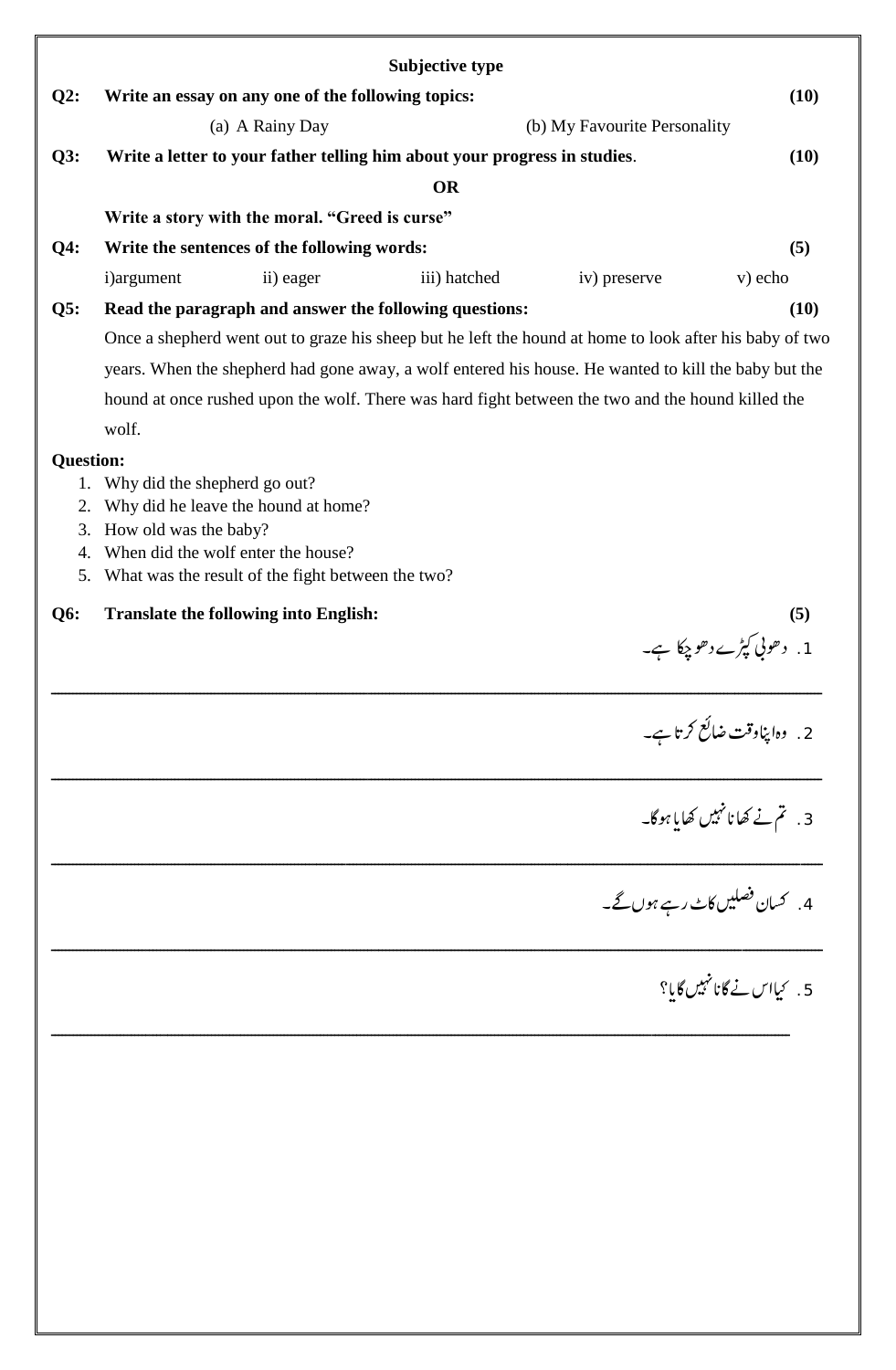|                  |                              |                                                    | Subjective type                                                                                         |                              |                                 |
|------------------|------------------------------|----------------------------------------------------|---------------------------------------------------------------------------------------------------------|------------------------------|---------------------------------|
| Q2:              |                              | Write an essay on any one of the following topics: |                                                                                                         |                              | (10)                            |
|                  |                              | (a) A Rainy Day                                    |                                                                                                         | (b) My Favourite Personality |                                 |
| Q3:              |                              |                                                    | Write a letter to your father telling him about your progress in studies.                               |                              | (10)                            |
|                  |                              |                                                    | <b>OR</b>                                                                                               |                              |                                 |
|                  |                              | Write a story with the moral. "Greed is curse"     |                                                                                                         |                              |                                 |
| $Q4$ :           |                              | Write the sentences of the following words:        |                                                                                                         |                              | (5)                             |
|                  | i)argument                   | ii) eager                                          | iii) hatched                                                                                            | iv) preserve                 | v) echo                         |
| Q5:              |                              |                                                    | Read the paragraph and answer the following questions:                                                  |                              | (10)                            |
|                  |                              |                                                    | Once a shepherd went out to graze his sheep but he left the hound at home to look after his baby of two |                              |                                 |
|                  |                              |                                                    | years. When the shepherd had gone away, a wolf entered his house. He wanted to kill the baby but the    |                              |                                 |
|                  |                              |                                                    | hound at once rushed upon the wolf. There was hard fight between the two and the hound killed the       |                              |                                 |
|                  | wolf.                        |                                                    |                                                                                                         |                              |                                 |
| <b>Question:</b> |                              |                                                    |                                                                                                         |                              |                                 |
| 1.<br>2.         | Why did the shepherd go out? | Why did he leave the hound at home?                |                                                                                                         |                              |                                 |
| 3.               | How old was the baby?        |                                                    |                                                                                                         |                              |                                 |
| 4.               |                              | When did the wolf enter the house?                 |                                                                                                         |                              |                                 |
| 5.               |                              | What was the result of the fight between the two?  |                                                                                                         |                              |                                 |
| <b>Q6:</b>       |                              | <b>Translate the following into English:</b>       |                                                                                                         |                              | (5)                             |
|                  |                              |                                                    |                                                                                                         |                              | 1. د حوني کپڑے د حو چکا ہے۔     |
|                  |                              |                                                    |                                                                                                         |                              | 2. وہاپناوقت ضائع کرتا ہے۔      |
|                  |                              |                                                    |                                                                                                         |                              | 3. تم نے کھانانہیں کھایا ہوگا۔  |
|                  |                              |                                                    |                                                                                                         |                              | 4.   كسان فصليں كاٹ رہے ہوں گے۔ |
|                  |                              |                                                    |                                                                                                         |                              | 5. كيااس نے گانانہيں گايا؟      |
|                  |                              |                                                    |                                                                                                         |                              |                                 |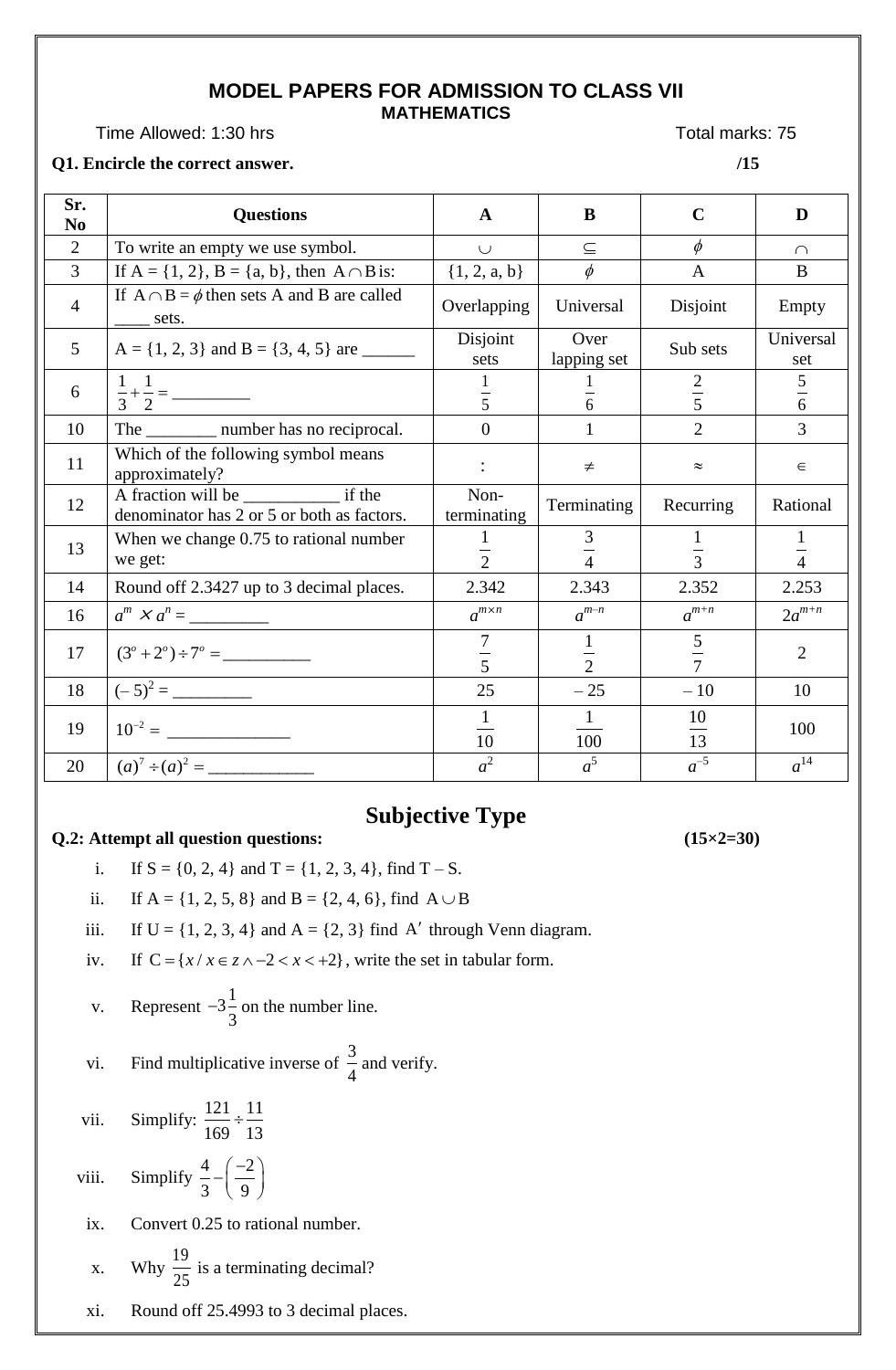#### **MODEL PAPERS FOR ADMISSION TO CLASS VII MATHEMATICS**

Time Allowed: 1:30 hrs Total marks: 75

#### **Q1. Encircle the correct answer. /15**

| Sr.<br>N <sub>0</sub> | <b>Questions</b>                                           | $\mathbf{A}$             | B                             | $\mathbf C$    | D                  |
|-----------------------|------------------------------------------------------------|--------------------------|-------------------------------|----------------|--------------------|
| $\overline{2}$        | To write an empty we use symbol.                           | $\cup$                   | $\subseteq$                   | $\phi$         | $\cap$             |
| $\overline{3}$        | If $A = \{1, 2\}$ , $B = \{a, b\}$ , then $A \cap B$ is:   | $\{1, 2, a, b\}$         | $\phi$                        | $\mathbf{A}$   | B                  |
| $\overline{4}$        | If $A \cap B = \phi$ then sets A and B are called<br>sets. | Overlapping              | Universal                     | Disjoint       | Empty              |
| 5                     |                                                            | Disjoint<br>sets         | Over<br>lapping set           | Sub sets       | Universal<br>set   |
| 6                     |                                                            | $\overline{5}$           | $\frac{1}{6}$                 | $rac{2}{5}$    | 5<br>$\frac{1}{6}$ |
| 10                    | The ___________ number has no reciprocal.                  | $\Omega$                 | $\mathbf{1}$                  | $\overline{2}$ | 3                  |
| 11                    | Which of the following symbol means<br>approximately?      |                          | $\neq$                        | $\approx$      | $\in$              |
| 12                    | denominator has 2 or 5 or both as factors.                 | Non-<br>terminating      | Terminating                   | Recurring      | Rational           |
| 13                    | When we change 0.75 to rational number<br>we get:          | $\overline{2}$           | $rac{3}{4}$                   | $\overline{3}$ | 1<br>$\frac{1}{4}$ |
| 14                    | Round off 2.3427 up to 3 decimal places.                   | 2.342                    | 2.343                         | 2.352          | 2.253              |
| 16                    | $a^m \times a^n =$                                         | $a^{m \times n}$         | $a^{m-n}$                     | $a^{m+n}$      | $2a^{m+n}$         |
| 17                    |                                                            | $\tau$<br>$\overline{5}$ | $\mathbf{1}$<br>$\frac{1}{2}$ | $rac{5}{7}$    | $\overline{2}$     |
| 18                    |                                                            | 25                       | $-25$                         | $-10$          | 10                 |
| 19                    |                                                            | $\mathbf{1}$<br>10       | $\mathbf{1}$<br>100           | 10<br>13       | 100                |
| 20                    |                                                            | $a^2$                    | $a^5$                         | $a^{-5}$       | $a^{14}$           |

## **Subjective Type**

#### **Q.2:** Attempt all question questions:  $(15\times2=30)$

- i. If  $S = \{0, 2, 4\}$  and  $T = \{1, 2, 3, 4\}$ , find  $T S$ .
- ii. If  $A = \{1, 2, 5, 8\}$  and  $B = \{2, 4, 6\}$ , find  $A \cup B$
- iii. If  $U = \{1, 2, 3, 4\}$  and  $A = \{2, 3\}$  find A' through Venn diagram.
- iv. If  $C = \{x / x \in z \land -2 < x < +2\}$ , write the set in tabular form.
- v. Represent  $-3\frac{1}{2}$ 3  $-3\frac{1}{2}$  on the number line.
- vi. Find multiplicative inverse of 3 4 and verify.
- vii. Simplify: 121 11 169 13  $\div$
- viii. Simplify  $\frac{4}{5} \left(\frac{-2}{5}\right)$ 3 | 9  $-\left(\frac{-2}{9}\right)$
- ix. Convert 0.25 to rational number.
- x. Why  $\frac{19}{27}$ 25 is a terminating decimal?
- xi. Round off 25.4993 to 3 decimal places.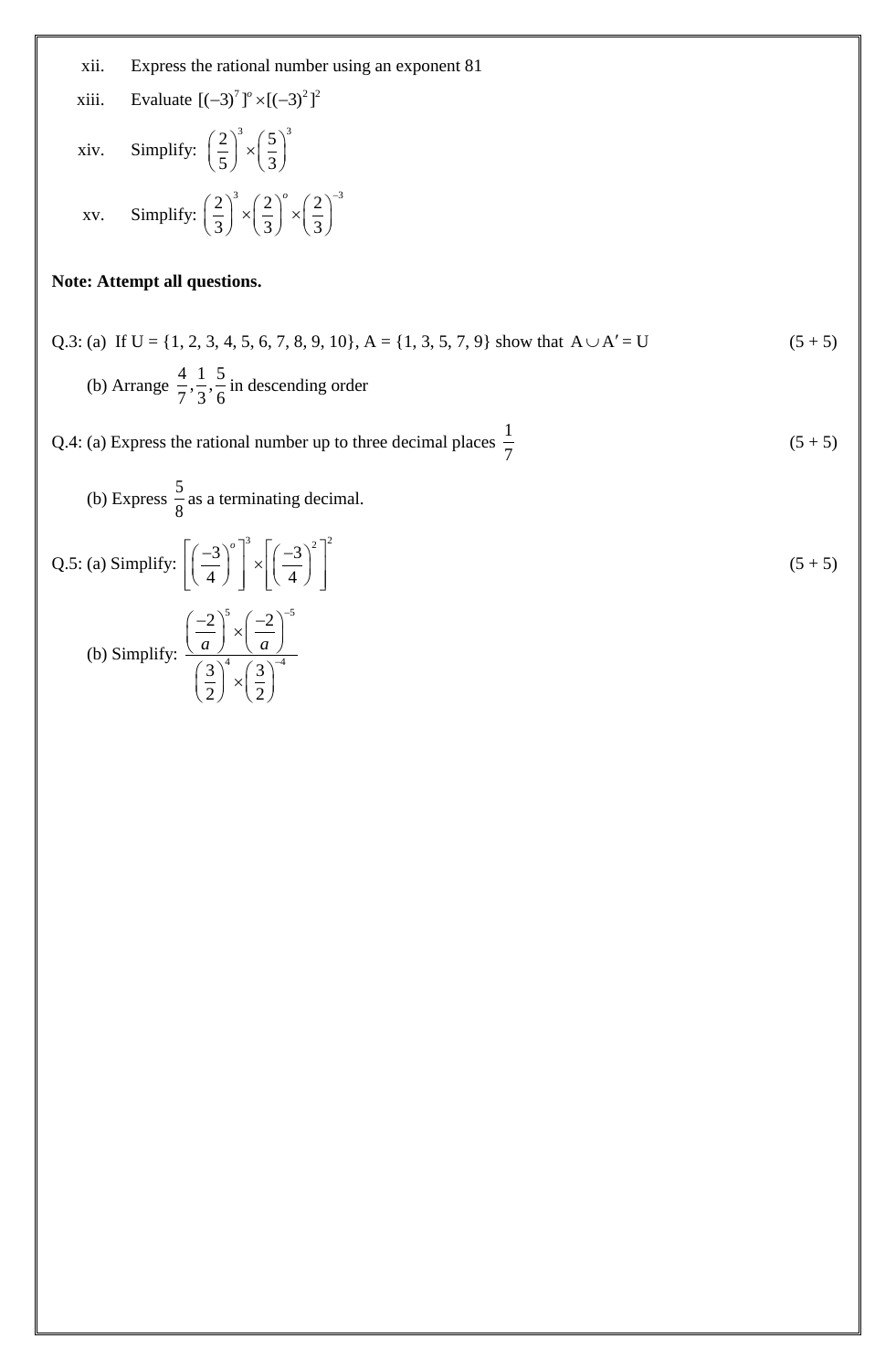- xii. Express the rational number using an exponent 81
- xiii. Evaluate  $[(-3)^7]^\circ \times [(-3)^2]$ <sup>2</sup>
- xiv. Simplify:  $\left(\frac{2}{5}\right)^3 \times \left(\frac{5}{5}\right)^3$  $\left(\frac{2}{5}\right)^{5} \times \left(\frac{5}{3}\right)^{5}$ xv. Simplify:  $\left(\frac{2}{2}\right)^3 \times \left(\frac{2}{2}\right)^0 \times \left(\frac{2}{2}\right)^{-3}$  $\frac{1}{3}$   $\left(\frac{1}{3}\right)$   $\left(\frac{1}{3}\right)$  $\left(\frac{2}{3}\right)^3 \times \left(\frac{2}{3}\right)^6 \times \left(\frac{2}{3}\right)^{-3}$

#### **Note: Attempt all questions.**

Q.3: (a) If U = {1, 2, 3, 4, 5, 6, 7, 8, 9, 10}, A = {1, 3, 5, 7, 9} show that  $A \cup A'$  $(5 + 5)$  (b) Arrange  $\frac{4}{7}, \frac{1}{7}, \frac{5}{7}$  $7^{\degree}3^{\degree}6$ in descending order

Q.4: (a) Express the rational number up to three decimal places  $\frac{1}{5}$ 7  $(5 + 5)$ 

(b) Express 
$$
\frac{5}{8}
$$
 as a terminating decimal.  
\nQ.5: (a) Simplify:  $\left[\left(\frac{-3}{4}\right)^{\circ}\right]^3 \times \left[\left(\frac{-3}{4}\right)^2\right]^2$   
\n(b) Simplify:  $\frac{\left(\frac{-2}{a}\right)^5 \times \left(\frac{-2}{a}\right)^{-5}}{\left(\frac{3}{2}\right)^4 \times \left(\frac{3}{2}\right)^{-4}}$  (b)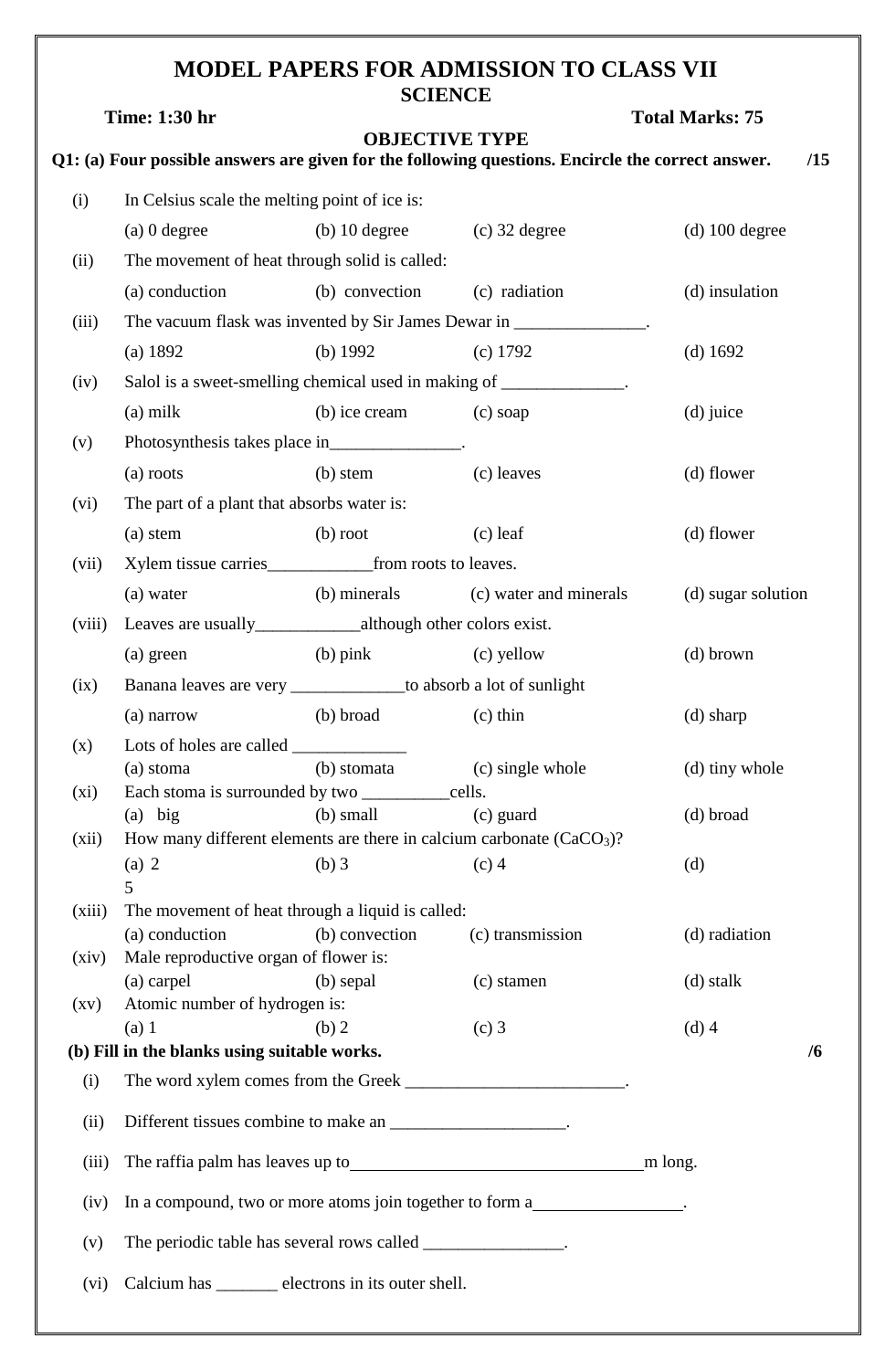## **MODEL PAPERS FOR ADMISSION TO CLASS VII SCIENCE**

|                    | <b>Time: 1:30 hr</b>                                  |                                                                    |                                                                                                                            | <b>Total Marks: 75</b> |
|--------------------|-------------------------------------------------------|--------------------------------------------------------------------|----------------------------------------------------------------------------------------------------------------------------|------------------------|
|                    |                                                       |                                                                    | <b>OBJECTIVE TYPE</b><br>Q1: (a) Four possible answers are given for the following questions. Encircle the correct answer. | /15                    |
| (i)                | In Celsius scale the melting point of ice is:         |                                                                    |                                                                                                                            |                        |
|                    | $(a)$ 0 degree                                        | (b) 10 degree $(c)$ 32 degree                                      |                                                                                                                            | $(d)$ 100 degree       |
| (ii)               |                                                       | The movement of heat through solid is called:                      |                                                                                                                            |                        |
|                    | (a) conduction                                        | (b) convection (c) radiation                                       |                                                                                                                            | (d) insulation         |
| (iii)              |                                                       |                                                                    | The vacuum flask was invented by Sir James Dewar in _______________.                                                       |                        |
|                    | (a) 1892                                              | (b) $1992$                                                         | $(c)$ 1792                                                                                                                 | (d) $1692$             |
| (iv)               |                                                       |                                                                    | Salol is a sweet-smelling chemical used in making of _____________.                                                        |                        |
|                    | $(a)$ milk                                            | (b) ice cream                                                      | (c) soap                                                                                                                   | (d) juice              |
|                    |                                                       |                                                                    |                                                                                                                            |                        |
| (v)                |                                                       | Photosynthesis takes place in_______________.                      |                                                                                                                            |                        |
|                    | (a) roots                                             | (b) stem                                                           | (c) leaves                                                                                                                 | (d) flower             |
| (vi)               | The part of a plant that absorbs water is:            |                                                                    |                                                                                                                            |                        |
|                    | $(a)$ stem                                            | $(b)$ root                                                         | $(c)$ leaf                                                                                                                 | (d) flower             |
| (vii)              |                                                       |                                                                    |                                                                                                                            |                        |
|                    | (a) water                                             | (b) minerals                                                       | (c) water and minerals                                                                                                     | (d) sugar solution     |
| (viii)             |                                                       |                                                                    |                                                                                                                            |                        |
|                    | (a) green                                             | $(b)$ pink                                                         | (c) yellow                                                                                                                 | $(d)$ brown            |
| (ix)               |                                                       | Banana leaves are very _______________to absorb a lot of sunlight  |                                                                                                                            |                        |
|                    | (a) narrow                                            | (b) broad                                                          | $(c)$ thin                                                                                                                 | $(d)$ sharp            |
| (x)                |                                                       |                                                                    |                                                                                                                            |                        |
|                    |                                                       | (a) stoma (b) stomata (c) single whole                             |                                                                                                                            | (d) tiny whole         |
| $(x_i)$            | $(a)$ big                                             | $(b)$ small                                                        | (c) guard                                                                                                                  | (d) broad              |
| (xii)              |                                                       |                                                                    | How many different elements are there in calcium carbonate $(CaCO3)$ ?                                                     |                        |
|                    | (a) 2                                                 | $(b)$ 3                                                            | $(c)$ 4                                                                                                                    | (d)                    |
|                    | 5                                                     |                                                                    |                                                                                                                            |                        |
| (xiii)             | (a) conduction                                        | The movement of heat through a liquid is called:<br>(b) convection | (c) transmission                                                                                                           | (d) radiation          |
| (xiv)              | Male reproductive organ of flower is:                 |                                                                    |                                                                                                                            |                        |
|                    | (a) carpel                                            | (b) sepal                                                          | (c) stamen                                                                                                                 | (d) stalk              |
| $\left( xy\right)$ | Atomic number of hydrogen is:                         |                                                                    |                                                                                                                            |                        |
|                    | (a) 1<br>(b) Fill in the blanks using suitable works. | (b) 2                                                              | $(c)$ 3                                                                                                                    | $(d)$ 4<br>/6          |
| (i)                |                                                       |                                                                    | The word xylem comes from the Greek _____________________________.                                                         |                        |
|                    |                                                       |                                                                    |                                                                                                                            |                        |
| (ii)               |                                                       | Different tissues combine to make an ____________________.         |                                                                                                                            |                        |
| (iii)              |                                                       |                                                                    | The raffia palm has leaves up to<br><u>m</u> long.                                                                         |                        |
| (iv)               |                                                       |                                                                    | In a compound, two or more atoms join together to form a                                                                   |                        |
| (v)                |                                                       | The periodic table has several rows called ________________.       |                                                                                                                            |                        |
| (vi)               |                                                       | Calcium has _______ electrons in its outer shell.                  |                                                                                                                            |                        |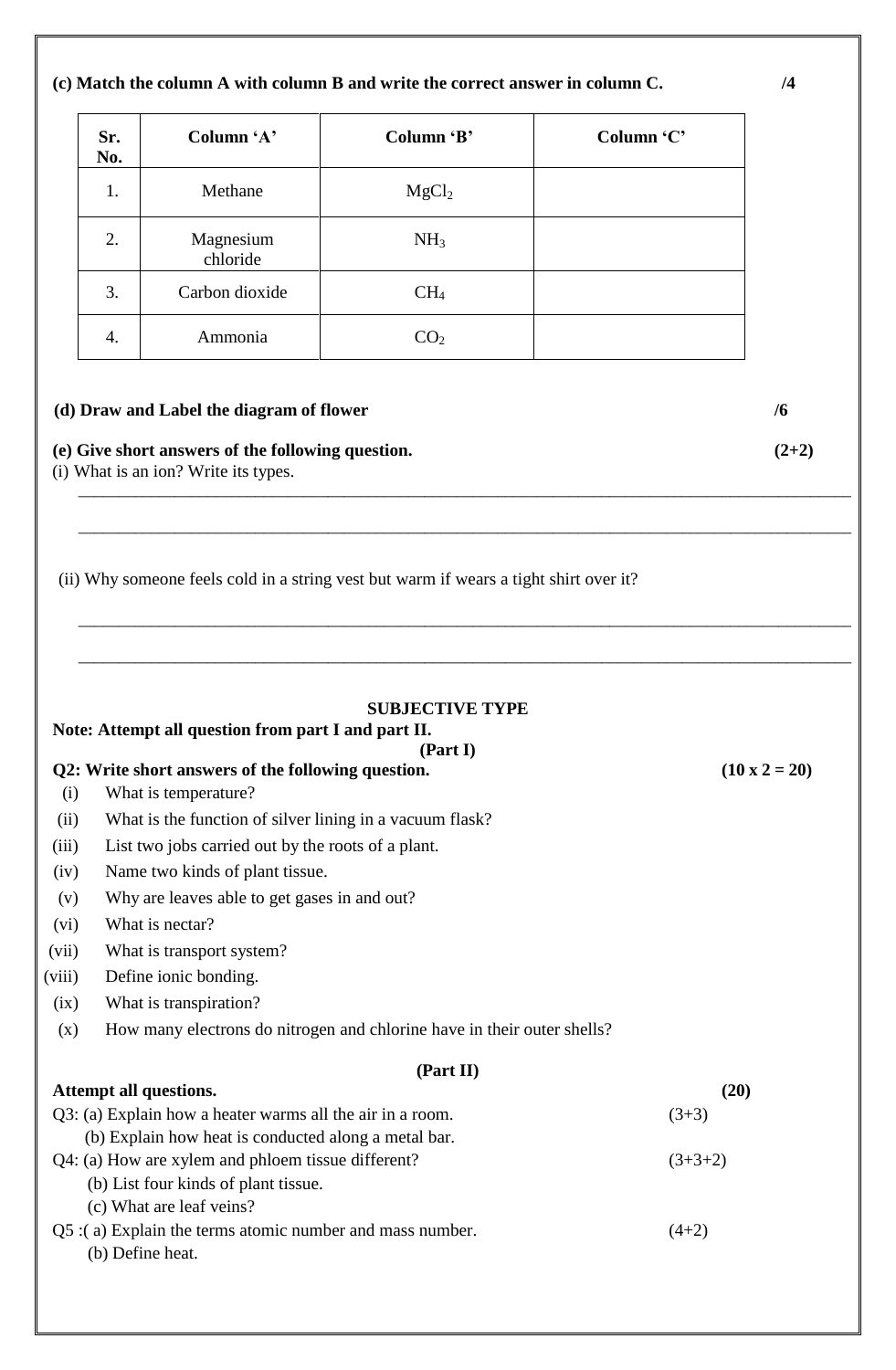#### **(c) Match the column A with column B and write the correct answer in column C. /4**

| Sr.<br>No. | Column 'A'            | Column 'B'        | Column 'C' |
|------------|-----------------------|-------------------|------------|
| 1.         | Methane               | MgCl <sub>2</sub> |            |
| 2.         | Magnesium<br>chloride | NH <sub>3</sub>   |            |
| 3.         | Carbon dioxide        | CH <sub>4</sub>   |            |
| 4.         | Ammonia               | $\mathrm{CO}_2$   |            |

# **(d) Draw and Label the diagram of flower /6 (e) Give short answers of the following question. (2+2)**

\_\_\_\_\_\_\_\_\_\_\_\_\_\_\_\_\_\_\_\_\_\_\_\_\_\_\_\_\_\_\_\_\_\_\_\_\_\_\_\_\_\_\_\_\_\_\_\_\_\_\_\_\_\_\_\_\_\_\_\_\_\_\_\_\_\_\_\_\_\_\_\_\_\_\_\_\_\_\_\_\_\_\_\_\_\_\_\_\_\_\_\_\_\_\_\_

\_\_\_\_\_\_\_\_\_\_\_\_\_\_\_\_\_\_\_\_\_\_\_\_\_\_\_\_\_\_\_\_\_\_\_\_\_\_\_\_\_\_\_\_\_\_\_\_\_\_\_\_\_\_\_\_\_\_\_\_\_\_\_\_\_\_\_\_\_\_\_\_\_\_\_\_\_\_\_\_\_\_\_\_\_\_\_\_\_\_\_\_\_\_\_\_

\_\_\_\_\_\_\_\_\_\_\_\_\_\_\_\_\_\_\_\_\_\_\_\_\_\_\_\_\_\_\_\_\_\_\_\_\_\_\_\_\_\_\_\_\_\_\_\_\_\_\_\_\_\_\_\_\_\_\_\_\_\_\_\_\_\_\_\_\_\_\_\_\_\_\_\_\_\_\_\_\_\_\_\_\_\_\_\_\_\_\_\_\_\_\_\_

\_\_\_\_\_\_\_\_\_\_\_\_\_\_\_\_\_\_\_\_\_\_\_\_\_\_\_\_\_\_\_\_\_\_\_\_\_\_\_\_\_\_\_\_\_\_\_\_\_\_\_\_\_\_\_\_\_\_\_\_\_\_\_\_\_\_\_\_\_\_\_\_\_\_\_\_\_\_\_\_\_\_\_\_\_\_\_\_\_\_\_\_\_\_\_\_

(i) What is an ion? Write its types.

(ii) Why someone feels cold in a string vest but warm if wears a tight shirt over it?

| <b>SUBJECTIVE TYPE</b><br>Note: Attempt all question from part I and part II.<br>(Part I) |                                                                         |                      |  |  |
|-------------------------------------------------------------------------------------------|-------------------------------------------------------------------------|----------------------|--|--|
|                                                                                           | Q2: Write short answers of the following question.                      | $(10 \times 2 = 20)$ |  |  |
| (i)                                                                                       | What is temperature?                                                    |                      |  |  |
| (ii)                                                                                      | What is the function of silver lining in a vacuum flask?                |                      |  |  |
| (iii)                                                                                     | List two jobs carried out by the roots of a plant.                      |                      |  |  |
| (iv)                                                                                      | Name two kinds of plant tissue.                                         |                      |  |  |
| (v)                                                                                       | Why are leaves able to get gases in and out?                            |                      |  |  |
| (vi)                                                                                      | What is nectar?                                                         |                      |  |  |
| (vii)                                                                                     | What is transport system?                                               |                      |  |  |
| (viii)                                                                                    | Define ionic bonding.                                                   |                      |  |  |
| (ix)                                                                                      | What is transpiration?                                                  |                      |  |  |
| (x)                                                                                       | How many electrons do nitrogen and chlorine have in their outer shells? |                      |  |  |
|                                                                                           |                                                                         |                      |  |  |
|                                                                                           | (Part II)                                                               | (20)                 |  |  |
| Attempt all questions.<br>Q3: (a) Explain how a heater warms all the air in a room.       |                                                                         | $(3+3)$              |  |  |
|                                                                                           | (b) Explain how heat is conducted along a metal bar.                    |                      |  |  |
| Q4: (a) How are xylem and phloem tissue different?<br>$(3+3+2)$                           |                                                                         |                      |  |  |
|                                                                                           | (b) List four kinds of plant tissue.                                    |                      |  |  |
| (c) What are leaf veins?                                                                  |                                                                         |                      |  |  |
|                                                                                           | Q5 :(a) Explain the terms atomic number and mass number.<br>$(4+2)$     |                      |  |  |
|                                                                                           | (b) Define heat.                                                        |                      |  |  |
|                                                                                           |                                                                         |                      |  |  |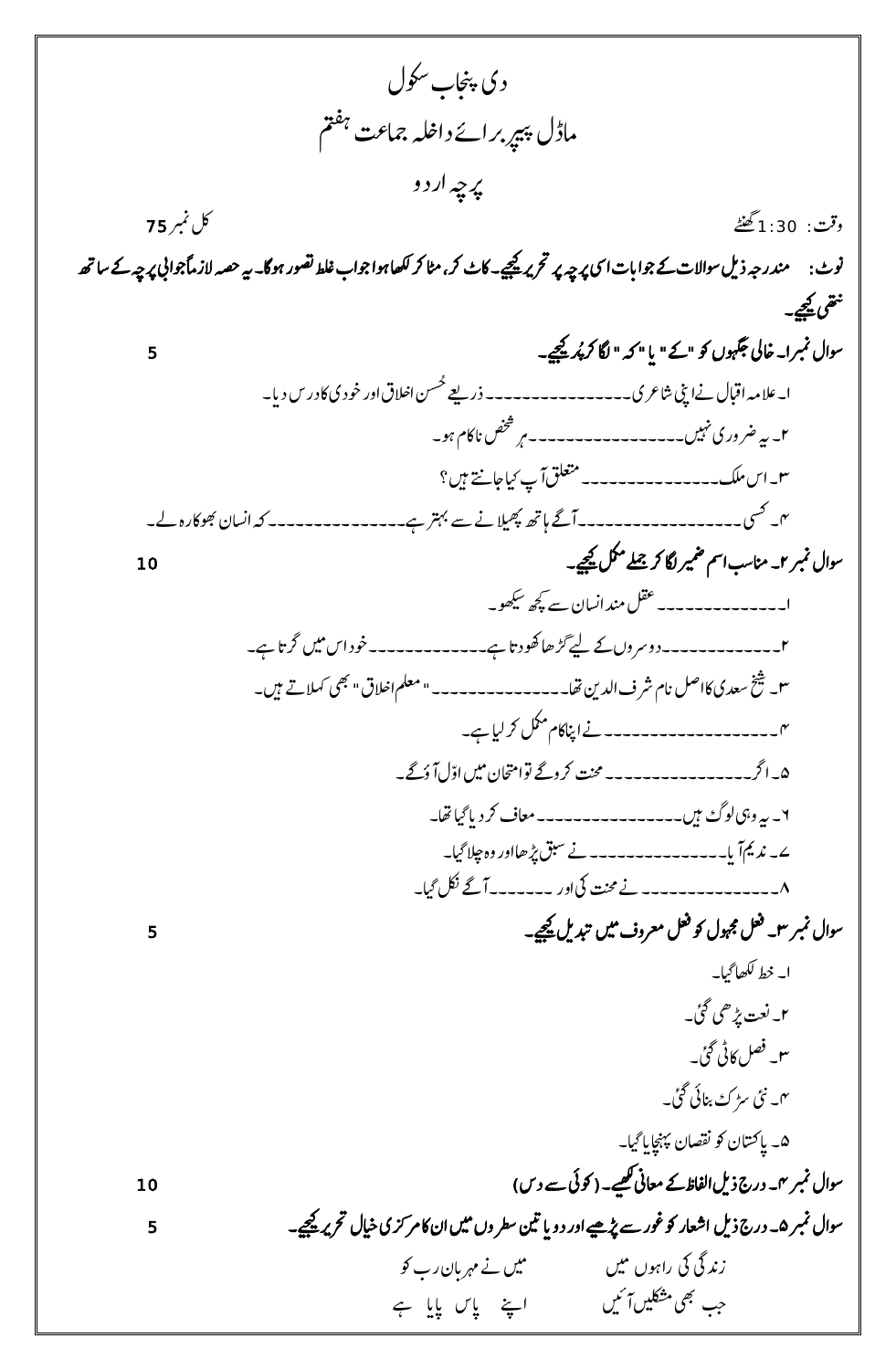د یاجنپ ٹوکسل ل امد رپیپ متفہ راےئداہلخامجعت ن رپہچا ر د و قث و : 1:30ےٹنھگ لک ربمن 75 ونٹ: دنمر ہج دلی ا یس ےک وجا ت ا ٹ وسا الٹ رپہچ رپ رحتری ےیجیک رک، اٹم رک اھکل وہا وجا ٹ طلغ وصتر وہاگ۔ ۔اکٹ ہی امً وجا یب ہصح الر رپہچ ےک سا ھت یھتن ےیجیک۔ ر ےیجیک۔ 5 ن ُ وسا ل ربمن۱۔ اخیل وہگجن وک "ےک" ت ا "ہک "اگل رک ۔ع ا ینپ ارع ۱ الہماابقلےن س ی ر ۔۔۔۔۔۔۔۔۔۔۔۔۔۔۔۔د ےعی القاوروخد اخ ن ُس ح یاک د ر س د ت ا ۔ ۲۔ ہیرضو ر یںیہن ااکموہ۔ رصخشت ہ ۔۔۔۔۔۔۔۔۔۔۔۔۔۔۔۔۔ ۳۔اسکلم۔۔۔۔۔۔۔۔۔۔۔۔۔۔۔قلعتما ٹایکاجےتن ںیہ؟ ۴۔ یسک ھ پ ۔۔۔۔۔۔۔۔۔۔۔۔۔۔۔۔۔۔ا ےگاہھت ی ال وھباکرۃےل۔ سان ن ےنےسرتہبےہ۔۔۔۔۔۔۔۔۔۔۔۔۔۔۔ہکا وسا ل ربمن ۲۔انمس ت ا مس ریمض اگل رک ےلمج لمکم ےیجیک۔ 10 ۱ ےسھچکوھکیس سان ن ۔۔۔۔۔۔۔۔۔۔۔۔۔۔لقعدنما ۔ ۲۔ ۔۔۔۔۔۔۔۔۔۔۔۔د و رسو ن ےک ےیل اےہ۔۔۔۔۔۔ اھوھکدت اےہ۔ گ ۔۔۔۔۔۔۔وخد ا س ںيم ر رگت ۳۔ خیشدعسی امرشفادل اکالصت نی الق"یھب ہالےتںیہ۔ اھت۔۔۔۔۔۔۔۔۔۔۔۔۔۔۔"ملعماخ ک ۴۔ ۔۔۔۔۔۔۔۔۔۔۔۔۔۔۔۔۔۔ ےن ا انپ اکم لمکم رک ایلےہ۔ ۵ ںيم ۔ارگ۔۔۔۔۔۔۔۔۔۔۔۔۔۔۔۔تنحمرکوےگوتااحتمن ےگ۔ ّلا و او ۶۔ ہیو یہولگ ںیہ۔۔۔۔۔۔۔۔۔۔۔۔۔۔۔۔اعمف رک د ت ا ایگاھت۔ ۷۔ دنمیا ت ا ۔۔۔۔۔۔۔۔۔۔۔۔۔۔۔ےنقبسڑپاھاوروۃخ الایگ۔ ۸۔ ۔۔۔۔۔۔۔۔۔۔۔۔۔۔ ےنتنحم يکا و ر ۔۔۔۔۔۔۔ا ےگ لکن ایگ۔ وسا ل ربمن ۳۔ لعف وہجمل وک لعف رعمو ف ںيم دبتلی ےیجیک۔ 5 ۱۔ طخ اھکل ایگ۔ ۲۔ تعن ڑپیھ یئگ۔ ۳۔ لصف اک یٹ یئگ۔ ۴۔ یئن ڑسک انبیئ یئگ۔ ۵۔ اچنہپت اایگ۔ وکاصقنن ااتسکن ت وسا ل ربمن ۴ د ۔د ر ج لی ےک اعمين ا افلظ ھ لک ے۔ )وکیئ ےس د س( 10 ی وسا ل ربمن ۵ د ۔د ر ج لی ی ایخلرحتری ےیجیک۔ ر اک رمک ا اعشر وک وغر ےس ڑپےیھ ا و ر د و ت ا نیترطسو ن ںيم ا ن 5 دنیگ ر يک ر ا وہن ںيم ر ٹوک ںيمےنرہمت ان ات ا ےہ اس ت ت یھب ںیلکش ا ںیئ ا ےنپ ت ح